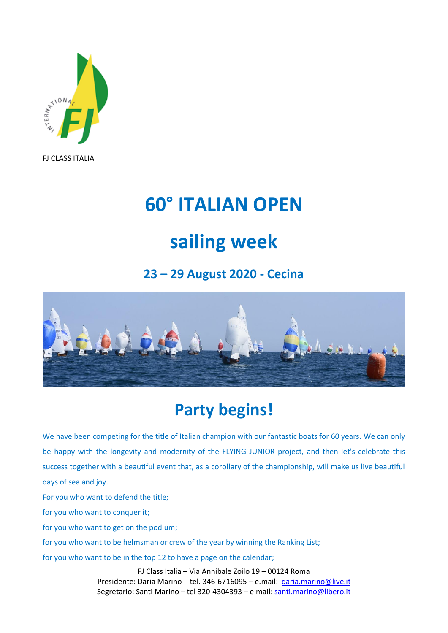

# **60° ITALIAN OPEN**

# **sailing week**

#### **23 – 29 August 2020 - Cecina**



## **Party begins!**

We have been competing for the title of Italian champion with our fantastic boats for 60 years. We can only be happy with the longevity and modernity of the FLYING JUNIOR project, and then let's celebrate this success together with a beautiful event that, as a corollary of the championship, will make us live beautiful days of sea and joy.

For you who want to defend the title;

for you who want to conquer it;

for you who want to get on the podium;

for you who want to be helmsman or crew of the year by winning the Ranking List;

for you who want to be in the top 12 to have a page on the calendar;

FJ Class Italia – Via Annibale Zoilo 19 – 00124 Roma Presidente: Daria Marino - tel. 346-6716095 – e.mail: [daria.marino@live.it](mailto:daria.marino@live.it) Segretario: Santi Marino – tel 320-4304393 – e mail: [santi.marino@libero.it](mailto:santi.marino@libero.it)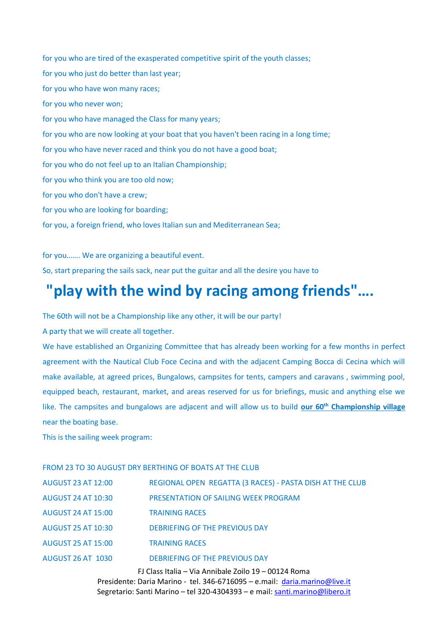for you who are tired of the exasperated competitive spirit of the youth classes; for you who just do better than last year; for you who have won many races; for you who never won; for you who have managed the Class for many years; for you who are now looking at your boat that you haven't been racing in a long time; for you who have never raced and think you do not have a good boat; for you who do not feel up to an Italian Championship; for you who think you are too old now; for you who don't have a crew; for you who are looking for boarding; for you, a foreign friend, who loves Italian sun and Mediterranean Sea;

for you……. We are organizing a beautiful event.

So, start preparing the sails sack, near put the guitar and all the desire you have to

### **"play with the wind by racing among friends"….**

The 60th will not be a Championship like any other, it will be our party!

A party that we will create all together.

We have established an Organizing Committee that has already been working for a few months in perfect agreement with the Nautical Club Foce Cecina and with the adjacent Camping Bocca di Cecina which will make available, at agreed prices, Bungalows, campsites for tents, campers and caravans , swimming pool, equipped beach, restaurant, market, and areas reserved for us for briefings, music and anything else we like. The campsites and bungalows are adjacent and will allow us to build **our 60th Championship village** near the boating base.

This is the sailing week program:

| FROM 23 TO 30 AUGUST DRY BERTHING OF BOATS AT THE CLUB |                                                          |  |
|--------------------------------------------------------|----------------------------------------------------------|--|
| <b>AUGUST 23 AT 12:00</b>                              | REGIONAL OPEN REGATTA (3 RACES) - PASTA DISH AT THE CLUB |  |
| <b>AUGUST 24 AT 10:30</b>                              | PRESENTATION OF SAILING WEEK PROGRAM                     |  |
| <b>AUGUST 24 AT 15:00</b>                              | <b>TRAINING RACES</b>                                    |  |
| <b>AUGUST 25 AT 10:30</b>                              | DEBRIEFING OF THE PREVIOUS DAY                           |  |
| <b>AUGUST 25 AT 15:00</b>                              | <b>TRAINING RACES</b>                                    |  |
| <b>AUGUST 26 AT 1030</b>                               | DEBRIEFING OF THE PREVIOUS DAY                           |  |
|                                                        |                                                          |  |

FJ Class Italia – Via Annibale Zoilo 19 – 00124 Roma Presidente: Daria Marino - tel. 346-6716095 - e.mail: [daria.marino@live.it](mailto:daria.marino@live.it) Segretario: Santi Marino - tel 320-4304393 - e mail: [santi.marino@libero.it](mailto:santi.marino@libero.it)